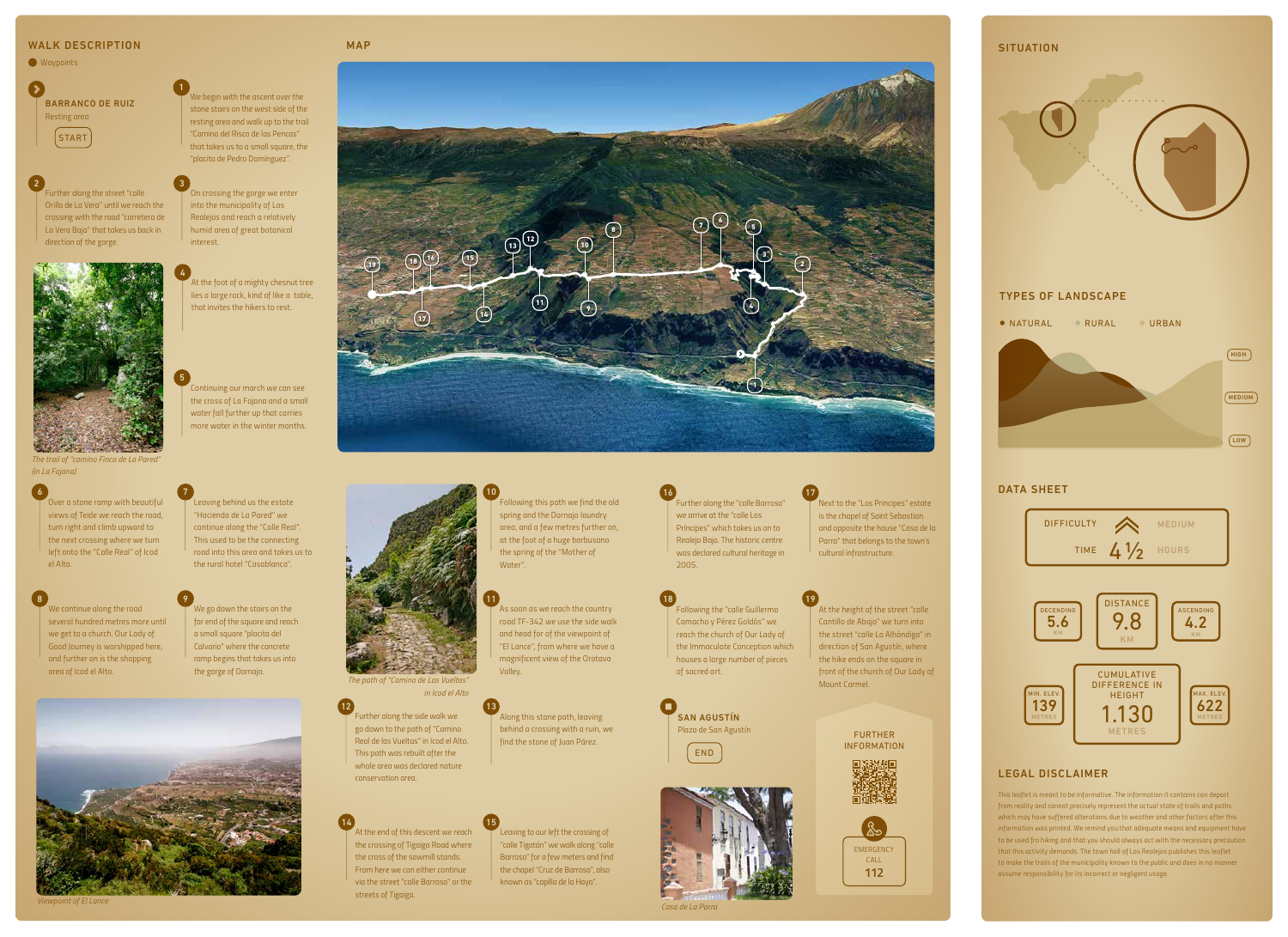*This leaflet is meant to be informative. The information it contains can depart from reality and cannot precisely represent the actual state of trails and paths which may have suffered alterations due to weather and other factors after this information was printed. We remind you that adequate means and equipment have to be used fro hiking and that you should always act with the necessary precaution that this activity demands. The town hall of Los Realejos publishes this leaflet to make the trails of the municipality known to the public and does in no manner assume responsibility for its incorrect or negligent usage.*

**SAN AGUSTÍN** *Plaza de San Agustín* END



*Continuing our march we can see the cross of La Fajana and a small water fall further up that carries more water in the winter months.*

*At the foot of a mighty chesnut tree lies a large rock, kind of like a table, that invites the hikers to rest.*





FURTHER INFORMATION

*Leaving behind us the estate "Hacienda de La Pared" we continue along the "Calle Real". This used to be the connecting road into this area and takes us to* 

7

*Over a stone ramp with beautiful views of Teide we reach the road, turn right and climb upward to the next crossing where we turn left onto the "Calle Real" of Icod el Alto.*

6

*Along this stone path, leaving behind a crossing with a ruin, we find the stone of Juan Párez.* 13

*the rural hotel "Casablanca". We go down the stairs on the far end of the square and reach* 

> *Further along the side walk we go down to the path of "Camino Real de las Vueltas" in Icod el Alto. This path was rebuilt after the whole area was declared nature conservation area.*

12

*a small square "placita del Calvario" where the concrete* 

*ramp begins that takes us into the gorge of Dornajo.*

9



*We continue along the road several hundred metres more until we get to a church. Our Lady of Good Journey is worshipped here, and further on is the shopping area of Icod el Alto.*

8

*road TF-342 we use the side walk and head for of the viewpoint of "El Lance", from where we have a magnificent view of the Orotava Valley.*

*As soon as we reach the country*  11 *area, and a few metres further on, at the foot of a huge barbusano the spring of the "Mother of Water".*

10

*Leaving to our left the crossing of "calle Tigotán" we walk along "calle Barroso" for a few meters and find the chapel "Cruz de Barroso", also known as "capilla de la Haya".*

15





*At the end of this descent we reach the crossing of Tigaiga Road where the cross of the sawmill stands. From here we can either continue via the street "calle Barroso" or the streets of Tigaiga.* 14

*Next to the "Los Principes" estate is the chapel of Saint Sebastian and opposite the house "Casa de la Parra" that belongs to the town's cultural infrastructure.* 17

*Further along the "calle Barroso" we arrive at the "calle Los Príncipes" which takes us on to Realejo Bajo. The historic centre was declared cultural heritage in*  16

> *At the height of the street "calle Cantillo de Abajo" we turn into the street "calle La Alhóndiga" in direction of San Agustín, where*

*the hike ends on the square in front of the church of Our Lady of* 

*Mount Carmel.*

19

#### *Following the "calle Guillermo Camacho y Pérez Goldós" we reach the church of Our Lady of the Immaculate Conception which houses a large number of pieces of sacred art.* 18

## WALK DESCRIPTION



*Further along the street "calle Orilla de La Vera" until we reach the crossing with the road "carretera de La Vera Baja" that takes us back in direction of the gorge.*

2





5

4

*We begin with the ascent over the stone stairs on the west side of the resting area and walk up to the trail "Camino del Risco de las Pencas" that takes us to a small square, the "placita de Pedro Domínguez".*

1



MAP

*The trail of "camino Finca de La Pared" (in La Fajana)*

*Viewpoint of El Lance*



*in Icod el Alto*

*Casa de La Parra*